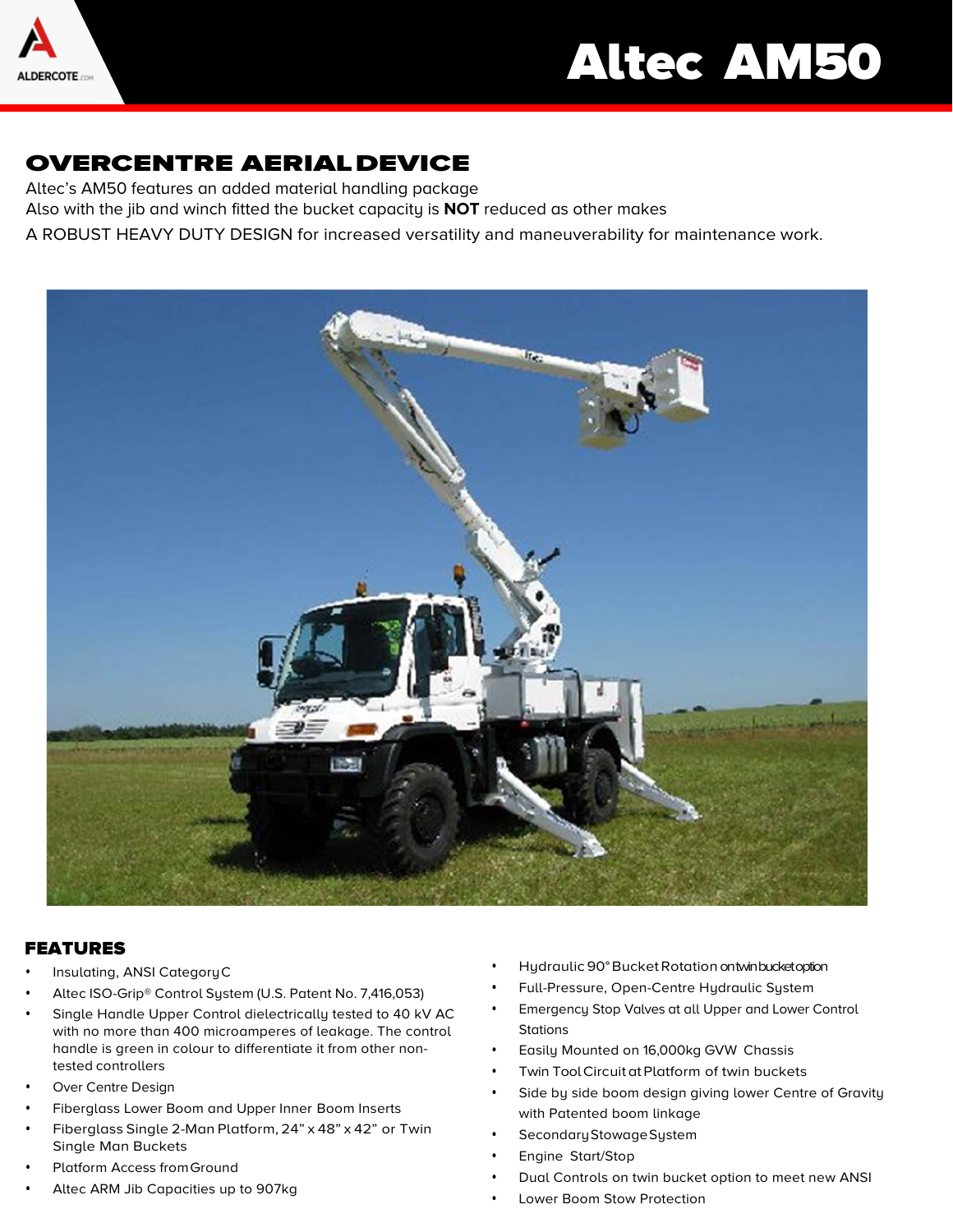

# Altec AM50

## OVERCENTRE AERIALDEVICE

Altec's AM50 features an added material handling package

Also with the jib and winch fitted the bucket capacity is **NOT** reduced as other makes

A ROBUST HEAVY DUTY DESIGN for increased versatility and maneuverability for maintenance work.



### FEATURES

- Insulating, ANSI CategoryC
- Altec ISO-Grip® Control System (U.S. Patent No. 7,416,053)
- Single Handle Upper Control dielectrically tested to 40 kV AC with no more than 400 microamperes of leakage. The control handle is green in colour to differentiate it from other nontested controllers
- Over Centre Design
- Fiberglass Lower Boom and Upper Inner Boom Inserts
- Fiberglass Single 2-Man Platform, 24" x 48" x 42" or Twin Single Man Buckets
- Platform Access from Ground
- Altec ARM Jib Capacities up to 907kg
- Hydraulic 90°Bucket Rotation on twin bucket option
- Full-Pressure, Open-Centre Hydraulic System
- Emergency Stop Valves at all Upper and Lower Control **Stations**
- Easily Mounted on 16,000kg GVW Chassis
- Twin Tool Circuit at Platform of twin buckets
- Side by side boom design giving lower Centre of Gravity with Patented boom linkage
- Secondary Stowage System
- Engine Start/Stop
- Dual Controls on twin bucket option to meet new ANSI
- Lower Boom Stow Protection